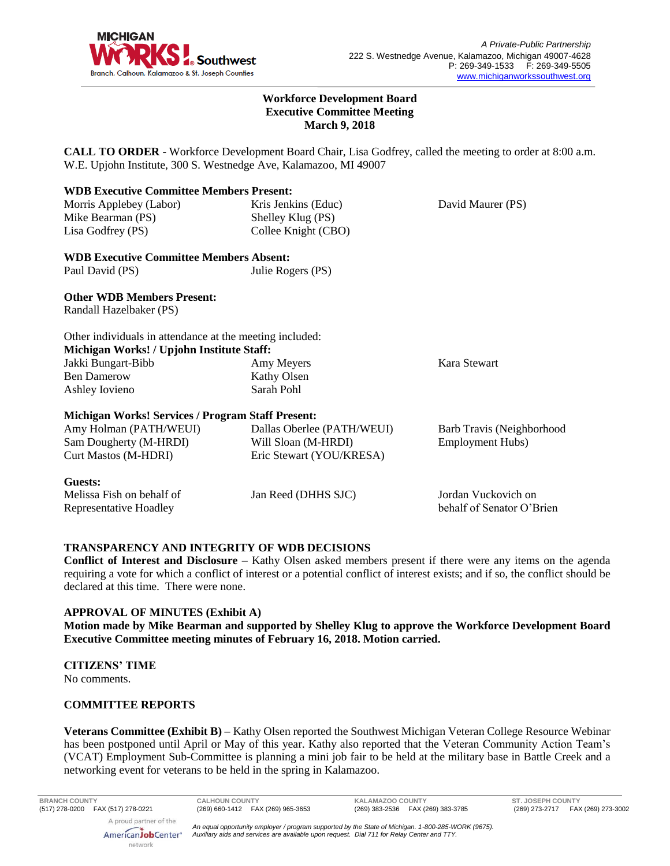

### **Workforce Development Board Executive Committee Meeting March 9, 2018**

**CALL TO ORDER** - Workforce Development Board Chair, Lisa Godfrey, called the meeting to order at 8:00 a.m. W.E. Upjohn Institute, 300 S. Westnedge Ave, Kalamazoo, MI 49007

| <b>WDB Executive Committee Members Present:</b>          |                            |                           |
|----------------------------------------------------------|----------------------------|---------------------------|
| Morris Applebey (Labor)                                  | Kris Jenkins (Educ)        | David Maurer (PS)         |
| Mike Bearman (PS)                                        | Shelley Klug (PS)          |                           |
| Lisa Godfrey (PS)                                        | Collee Knight (CBO)        |                           |
| <b>WDB Executive Committee Members Absent:</b>           |                            |                           |
| Paul David (PS)                                          | Julie Rogers (PS)          |                           |
| <b>Other WDB Members Present:</b>                        |                            |                           |
| Randall Hazelbaker (PS)                                  |                            |                           |
| Other individuals in attendance at the meeting included: |                            |                           |
| Michigan Works! / Upjohn Institute Staff:                |                            |                           |
| Jakki Bungart-Bibb                                       | Amy Meyers                 | Kara Stewart              |
| <b>Ben Damerow</b>                                       | Kathy Olsen                |                           |
| Ashley Iovieno                                           | Sarah Pohl                 |                           |
| <b>Michigan Works! Services / Program Staff Present:</b> |                            |                           |
| Amy Holman (PATH/WEUI)                                   | Dallas Oberlee (PATH/WEUI) | Barb Travis (Neighborhood |
| Sam Dougherty (M-HRDI)                                   | Will Sloan (M-HRDI)        | <b>Employment Hubs</b> )  |
| <b>Curt Mastos (M-HDRI)</b>                              | Eric Stewart (YOU/KRESA)   |                           |
| Guests:                                                  |                            |                           |
| Melissa Fish on behalf of                                | Jan Reed (DHHS SJC)        | Jordan Vuckovich on       |
| Representative Hoadley                                   |                            | behalf of Senator O'Brien |

### **TRANSPARENCY AND INTEGRITY OF WDB DECISIONS**

**Conflict of Interest and Disclosure** – Kathy Olsen asked members present if there were any items on the agenda requiring a vote for which a conflict of interest or a potential conflict of interest exists; and if so, the conflict should be declared at this time. There were none.

# **APPROVAL OF MINUTES (Exhibit A)**

**Motion made by Mike Bearman and supported by Shelley Klug to approve the Workforce Development Board Executive Committee meeting minutes of February 16, 2018. Motion carried.** 

### **CITIZENS' TIME**

No comments.

### **COMMITTEE REPORTS**

**Veterans Committee (Exhibit B)** – Kathy Olsen reported the Southwest Michigan Veteran College Resource Webinar has been postponed until April or May of this year. Kathy also reported that the Veteran Community Action Team's (VCAT) Employment Sub-Committee is planning a mini job fair to be held at the military base in Battle Creek and a networking event for veterans to be held in the spring in Kalamazoo.

**BRANCH COUNTY CALHOUN COUNTY KALAMAZOO COUNTY ST. JOSEPH COUNTY**

A proud partner of the AmericanJobCenter<sup>®</sup> network

*An equal opportunity employer / program supported by the State of Michigan. 1-800-285-WORK (9675). Auxiliary aids and services are available upon request. Dial 711 for Relay Center and TTY.*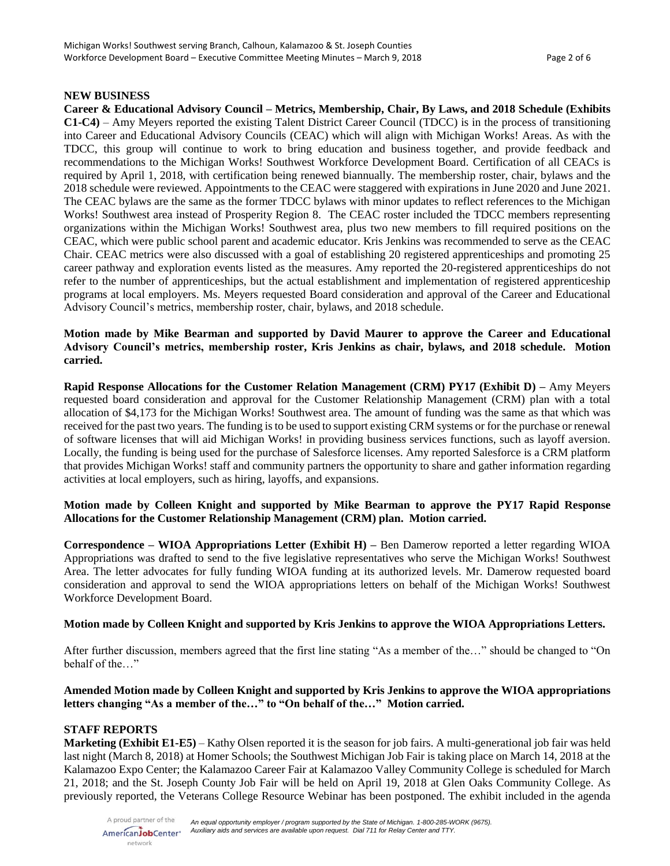### **NEW BUSINESS**

**Career & Educational Advisory Council – Metrics, Membership, Chair, By Laws, and 2018 Schedule (Exhibits C1-C4)** – Amy Meyers reported the existing Talent District Career Council (TDCC) is in the process of transitioning into Career and Educational Advisory Councils (CEAC) which will align with Michigan Works! Areas. As with the TDCC, this group will continue to work to bring education and business together, and provide feedback and recommendations to the Michigan Works! Southwest Workforce Development Board. Certification of all CEACs is required by April 1, 2018, with certification being renewed biannually. The membership roster, chair, bylaws and the 2018 schedule were reviewed. Appointments to the CEAC were staggered with expirations in June 2020 and June 2021. The CEAC bylaws are the same as the former TDCC bylaws with minor updates to reflect references to the Michigan Works! Southwest area instead of Prosperity Region 8. The CEAC roster included the TDCC members representing organizations within the Michigan Works! Southwest area, plus two new members to fill required positions on the CEAC, which were public school parent and academic educator. Kris Jenkins was recommended to serve as the CEAC Chair. CEAC metrics were also discussed with a goal of establishing 20 registered apprenticeships and promoting 25 career pathway and exploration events listed as the measures. Amy reported the 20-registered apprenticeships do not refer to the number of apprenticeships, but the actual establishment and implementation of registered apprenticeship programs at local employers. Ms. Meyers requested Board consideration and approval of the Career and Educational Advisory Council's metrics, membership roster, chair, bylaws, and 2018 schedule.

**Motion made by Mike Bearman and supported by David Maurer to approve the Career and Educational Advisory Council's metrics, membership roster, Kris Jenkins as chair, bylaws, and 2018 schedule. Motion carried.**

**Rapid Response Allocations for the Customer Relation Management (CRM) PY17 (Exhibit D) –** Amy Meyers requested board consideration and approval for the Customer Relationship Management (CRM) plan with a total allocation of \$4,173 for the Michigan Works! Southwest area. The amount of funding was the same as that which was received for the past two years. The funding is to be used to support existing CRM systems or for the purchase or renewal of software licenses that will aid Michigan Works! in providing business services functions, such as layoff aversion. Locally, the funding is being used for the purchase of Salesforce licenses. Amy reported Salesforce is a CRM platform that provides Michigan Works! staff and community partners the opportunity to share and gather information regarding activities at local employers, such as hiring, layoffs, and expansions.

## **Motion made by Colleen Knight and supported by Mike Bearman to approve the PY17 Rapid Response Allocations for the Customer Relationship Management (CRM) plan. Motion carried.**

**Correspondence – WIOA Appropriations Letter (Exhibit H) –** Ben Damerow reported a letter regarding WIOA Appropriations was drafted to send to the five legislative representatives who serve the Michigan Works! Southwest Area. The letter advocates for fully funding WIOA funding at its authorized levels. Mr. Damerow requested board consideration and approval to send the WIOA appropriations letters on behalf of the Michigan Works! Southwest Workforce Development Board.

### **Motion made by Colleen Knight and supported by Kris Jenkins to approve the WIOA Appropriations Letters.**

After further discussion, members agreed that the first line stating "As a member of the…" should be changed to "On behalf of the…"

# **Amended Motion made by Colleen Knight and supported by Kris Jenkins to approve the WIOA appropriations letters changing "As a member of the…" to "On behalf of the…" Motion carried.**

# **STAFF REPORTS**

**Marketing (Exhibit E1-E5)** – Kathy Olsen reported it is the season for job fairs. A multi-generational job fair was held last night (March 8, 2018) at Homer Schools; the Southwest Michigan Job Fair is taking place on March 14, 2018 at the Kalamazoo Expo Center; the Kalamazoo Career Fair at Kalamazoo Valley Community College is scheduled for March 21, 2018; and the St. Joseph County Job Fair will be held on April 19, 2018 at Glen Oaks Community College. As previously reported, the Veterans College Resource Webinar has been postponed. The exhibit included in the agenda

A proud partner of the AmericanJobCenter<sup>®</sup> network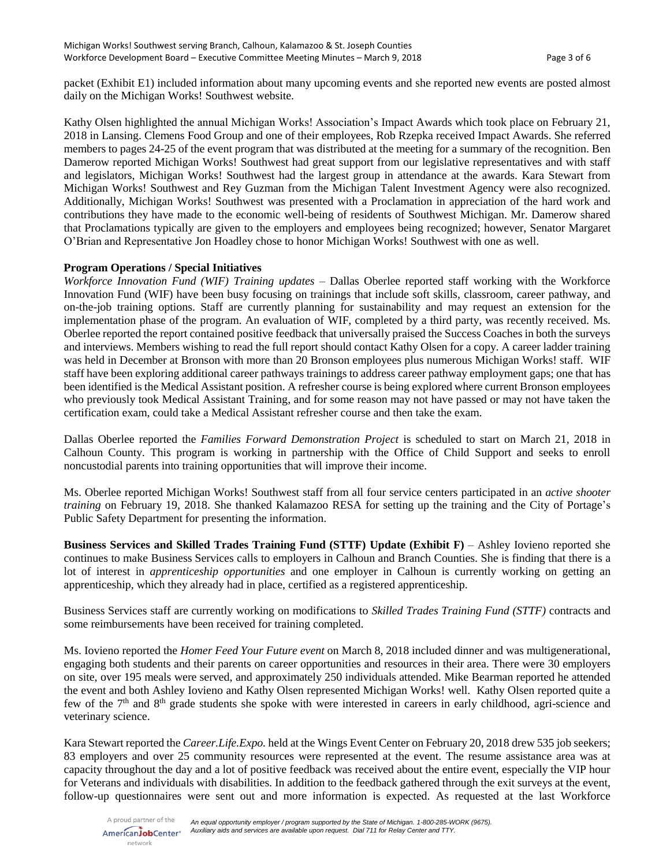packet (Exhibit E1) included information about many upcoming events and she reported new events are posted almost daily on the Michigan Works! Southwest website.

Kathy Olsen highlighted the annual Michigan Works! Association's Impact Awards which took place on February 21, 2018 in Lansing. Clemens Food Group and one of their employees, Rob Rzepka received Impact Awards. She referred members to pages 24-25 of the event program that was distributed at the meeting for a summary of the recognition. Ben Damerow reported Michigan Works! Southwest had great support from our legislative representatives and with staff and legislators, Michigan Works! Southwest had the largest group in attendance at the awards. Kara Stewart from Michigan Works! Southwest and Rey Guzman from the Michigan Talent Investment Agency were also recognized. Additionally, Michigan Works! Southwest was presented with a Proclamation in appreciation of the hard work and contributions they have made to the economic well-being of residents of Southwest Michigan. Mr. Damerow shared that Proclamations typically are given to the employers and employees being recognized; however, Senator Margaret O'Brian and Representative Jon Hoadley chose to honor Michigan Works! Southwest with one as well.

## **Program Operations / Special Initiatives**

*Workforce Innovation Fund (WIF) Training updates –* Dallas Oberlee reported staff working with the Workforce Innovation Fund (WIF) have been busy focusing on trainings that include soft skills, classroom, career pathway, and on-the-job training options. Staff are currently planning for sustainability and may request an extension for the implementation phase of the program. An evaluation of WIF, completed by a third party, was recently received. Ms. Oberlee reported the report contained positive feedback that universally praised the Success Coaches in both the surveys and interviews. Members wishing to read the full report should contact Kathy Olsen for a copy. A career ladder training was held in December at Bronson with more than 20 Bronson employees plus numerous Michigan Works! staff. WIF staff have been exploring additional career pathways trainings to address career pathway employment gaps; one that has been identified is the Medical Assistant position. A refresher course is being explored where current Bronson employees who previously took Medical Assistant Training, and for some reason may not have passed or may not have taken the certification exam, could take a Medical Assistant refresher course and then take the exam.

Dallas Oberlee reported the *Families Forward Demonstration Project* is scheduled to start on March 21, 2018 in Calhoun County. This program is working in partnership with the Office of Child Support and seeks to enroll noncustodial parents into training opportunities that will improve their income.

Ms. Oberlee reported Michigan Works! Southwest staff from all four service centers participated in an *active shooter training* on February 19, 2018. She thanked Kalamazoo RESA for setting up the training and the City of Portage's Public Safety Department for presenting the information.

**Business Services and Skilled Trades Training Fund (STTF) Update (Exhibit F)** – Ashley Iovieno reported she continues to make Business Services calls to employers in Calhoun and Branch Counties. She is finding that there is a lot of interest in *apprenticeship opportunities* and one employer in Calhoun is currently working on getting an apprenticeship, which they already had in place, certified as a registered apprenticeship.

Business Services staff are currently working on modifications to *Skilled Trades Training Fund (STTF)* contracts and some reimbursements have been received for training completed.

Ms. Iovieno reported the *Homer Feed Your Future event* on March 8, 2018 included dinner and was multigenerational, engaging both students and their parents on career opportunities and resources in their area. There were 30 employers on site, over 195 meals were served, and approximately 250 individuals attended. Mike Bearman reported he attended the event and both Ashley Iovieno and Kathy Olsen represented Michigan Works! well. Kathy Olsen reported quite a few of the 7<sup>th</sup> and 8<sup>th</sup> grade students she spoke with were interested in careers in early childhood, agri-science and veterinary science.

Kara Stewart reported the *Career.Life.Expo.* held at the Wings Event Center on February 20, 2018 drew 535 job seekers; 83 employers and over 25 community resources were represented at the event. The resume assistance area was at capacity throughout the day and a lot of positive feedback was received about the entire event, especially the VIP hour for Veterans and individuals with disabilities. In addition to the feedback gathered through the exit surveys at the event, follow-up questionnaires were sent out and more information is expected. As requested at the last Workforce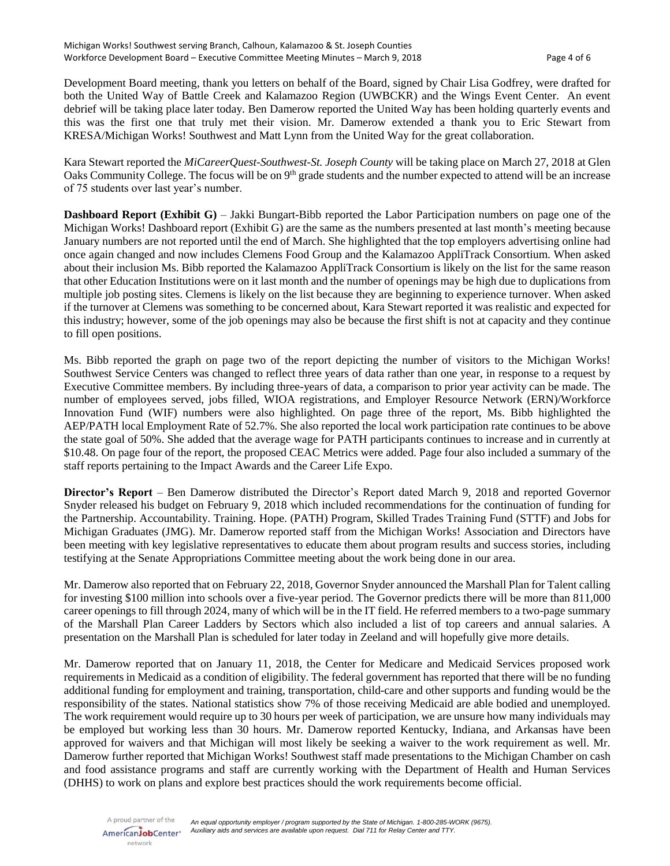Development Board meeting, thank you letters on behalf of the Board, signed by Chair Lisa Godfrey, were drafted for both the United Way of Battle Creek and Kalamazoo Region (UWBCKR) and the Wings Event Center. An event debrief will be taking place later today. Ben Damerow reported the United Way has been holding quarterly events and this was the first one that truly met their vision. Mr. Damerow extended a thank you to Eric Stewart from KRESA/Michigan Works! Southwest and Matt Lynn from the United Way for the great collaboration.

Kara Stewart reported the *MiCareerQuest-Southwest-St. Joseph County* will be taking place on March 27, 2018 at Glen Oaks Community College. The focus will be on 9<sup>th</sup> grade students and the number expected to attend will be an increase of 75 students over last year's number.

**Dashboard Report (Exhibit G)** – Jakki Bungart-Bibb reported the Labor Participation numbers on page one of the Michigan Works! Dashboard report (Exhibit G) are the same as the numbers presented at last month's meeting because January numbers are not reported until the end of March. She highlighted that the top employers advertising online had once again changed and now includes Clemens Food Group and the Kalamazoo AppliTrack Consortium. When asked about their inclusion Ms. Bibb reported the Kalamazoo AppliTrack Consortium is likely on the list for the same reason that other Education Institutions were on it last month and the number of openings may be high due to duplications from multiple job posting sites. Clemens is likely on the list because they are beginning to experience turnover. When asked if the turnover at Clemens was something to be concerned about, Kara Stewart reported it was realistic and expected for this industry; however, some of the job openings may also be because the first shift is not at capacity and they continue to fill open positions.

Ms. Bibb reported the graph on page two of the report depicting the number of visitors to the Michigan Works! Southwest Service Centers was changed to reflect three years of data rather than one year, in response to a request by Executive Committee members. By including three-years of data, a comparison to prior year activity can be made. The number of employees served, jobs filled, WIOA registrations, and Employer Resource Network (ERN)/Workforce Innovation Fund (WIF) numbers were also highlighted. On page three of the report, Ms. Bibb highlighted the AEP/PATH local Employment Rate of 52.7%. She also reported the local work participation rate continues to be above the state goal of 50%. She added that the average wage for PATH participants continues to increase and in currently at \$10.48. On page four of the report, the proposed CEAC Metrics were added. Page four also included a summary of the staff reports pertaining to the Impact Awards and the Career Life Expo.

**Director's Report** – Ben Damerow distributed the Director's Report dated March 9, 2018 and reported Governor Snyder released his budget on February 9, 2018 which included recommendations for the continuation of funding for the Partnership. Accountability. Training. Hope. (PATH) Program, Skilled Trades Training Fund (STTF) and Jobs for Michigan Graduates (JMG). Mr. Damerow reported staff from the Michigan Works! Association and Directors have been meeting with key legislative representatives to educate them about program results and success stories, including testifying at the Senate Appropriations Committee meeting about the work being done in our area.

Mr. Damerow also reported that on February 22, 2018, Governor Snyder announced the Marshall Plan for Talent calling for investing \$100 million into schools over a five-year period. The Governor predicts there will be more than 811,000 career openings to fill through 2024, many of which will be in the IT field. He referred members to a two-page summary of the Marshall Plan Career Ladders by Sectors which also included a list of top careers and annual salaries. A presentation on the Marshall Plan is scheduled for later today in Zeeland and will hopefully give more details.

Mr. Damerow reported that on January 11, 2018, the Center for Medicare and Medicaid Services proposed work requirements in Medicaid as a condition of eligibility. The federal government has reported that there will be no funding additional funding for employment and training, transportation, child-care and other supports and funding would be the responsibility of the states. National statistics show 7% of those receiving Medicaid are able bodied and unemployed. The work requirement would require up to 30 hours per week of participation, we are unsure how many individuals may be employed but working less than 30 hours. Mr. Damerow reported Kentucky, Indiana, and Arkansas have been approved for waivers and that Michigan will most likely be seeking a waiver to the work requirement as well. Mr. Damerow further reported that Michigan Works! Southwest staff made presentations to the Michigan Chamber on cash and food assistance programs and staff are currently working with the Department of Health and Human Services (DHHS) to work on plans and explore best practices should the work requirements become official.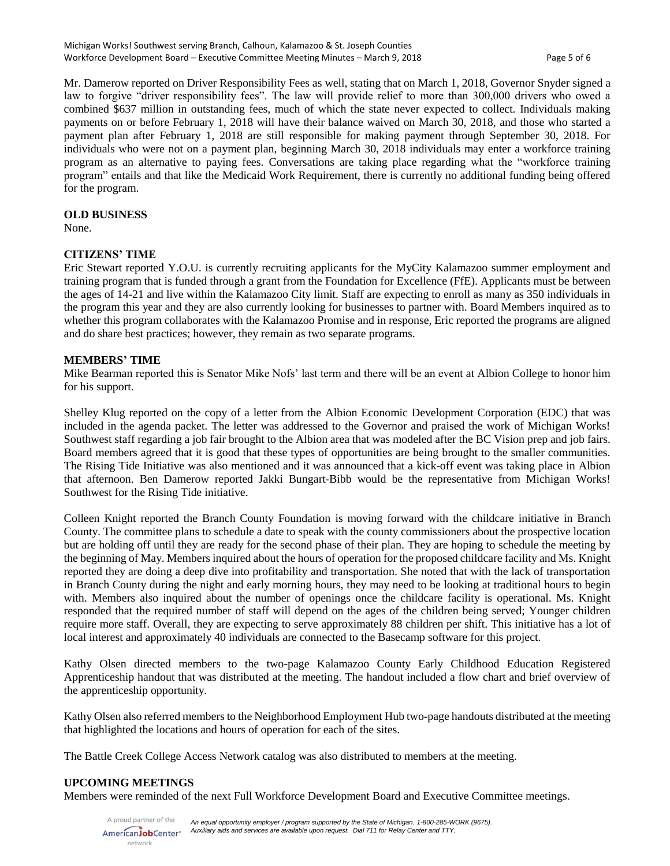Mr. Damerow reported on Driver Responsibility Fees as well, stating that on March 1, 2018, Governor Snyder signed a law to forgive "driver responsibility fees". The law will provide relief to more than 300,000 drivers who owed a combined \$637 million in outstanding fees, much of which the state never expected to collect. Individuals making payments on or before February 1, 2018 will have their balance waived on March 30, 2018, and those who started a payment plan after February 1, 2018 are still responsible for making payment through September 30, 2018. For individuals who were not on a payment plan, beginning March 30, 2018 individuals may enter a workforce training program as an alternative to paying fees. Conversations are taking place regarding what the "workforce training program" entails and that like the Medicaid Work Requirement, there is currently no additional funding being offered for the program.

### **OLD BUSINESS**

None.

## **CITIZENS' TIME**

Eric Stewart reported Y.O.U. is currently recruiting applicants for the MyCity Kalamazoo summer employment and training program that is funded through a grant from the Foundation for Excellence (FfE). Applicants must be between the ages of 14-21 and live within the Kalamazoo City limit. Staff are expecting to enroll as many as 350 individuals in the program this year and they are also currently looking for businesses to partner with. Board Members inquired as to whether this program collaborates with the Kalamazoo Promise and in response, Eric reported the programs are aligned and do share best practices; however, they remain as two separate programs.

## **MEMBERS' TIME**

Mike Bearman reported this is Senator Mike Nofs' last term and there will be an event at Albion College to honor him for his support.

Shelley Klug reported on the copy of a letter from the Albion Economic Development Corporation (EDC) that was included in the agenda packet. The letter was addressed to the Governor and praised the work of Michigan Works! Southwest staff regarding a job fair brought to the Albion area that was modeled after the BC Vision prep and job fairs. Board members agreed that it is good that these types of opportunities are being brought to the smaller communities. The Rising Tide Initiative was also mentioned and it was announced that a kick-off event was taking place in Albion that afternoon. Ben Damerow reported Jakki Bungart-Bibb would be the representative from Michigan Works! Southwest for the Rising Tide initiative.

Colleen Knight reported the Branch County Foundation is moving forward with the childcare initiative in Branch County. The committee plans to schedule a date to speak with the county commissioners about the prospective location but are holding off until they are ready for the second phase of their plan. They are hoping to schedule the meeting by the beginning of May. Members inquired about the hours of operation for the proposed childcare facility and Ms. Knight reported they are doing a deep dive into profitability and transportation. She noted that with the lack of transportation in Branch County during the night and early morning hours, they may need to be looking at traditional hours to begin with. Members also inquired about the number of openings once the childcare facility is operational. Ms. Knight responded that the required number of staff will depend on the ages of the children being served; Younger children require more staff. Overall, they are expecting to serve approximately 88 children per shift. This initiative has a lot of local interest and approximately 40 individuals are connected to the Basecamp software for this project.

Kathy Olsen directed members to the two-page Kalamazoo County Early Childhood Education Registered Apprenticeship handout that was distributed at the meeting. The handout included a flow chart and brief overview of the apprenticeship opportunity.

Kathy Olsen also referred members to the Neighborhood Employment Hub two-page handouts distributed at the meeting that highlighted the locations and hours of operation for each of the sites.

The Battle Creek College Access Network catalog was also distributed to members at the meeting.

# **UPCOMING MEETINGS**

Members were reminded of the next Full Workforce Development Board and Executive Committee meetings.